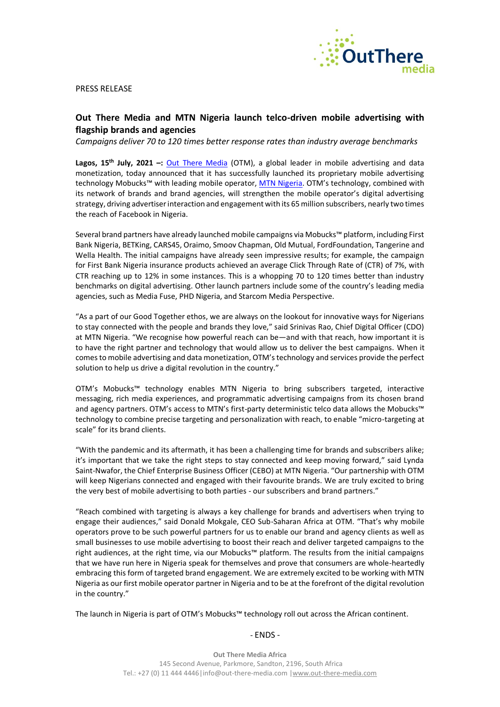

PRESS RELEASE

# **Out There Media and MTN Nigeria launch telco-driven mobile advertising with flagship brands and agencies**

*Campaigns deliver 70 to 120 times better response rates than industry average benchmarks*

**Lagos, 15th July, 2021 –:** [Out There Media](http://www.out-there-media.com/) (OTM), a global leader in mobile advertising and data monetization, today announced that it has successfully launched its proprietary mobile advertising technology Mobucks™ with leading mobile operator, [MTN Nigeria](http://www.mtnonline.com/). OTM's technology, combined with its network of brands and brand agencies, will strengthen the mobile operator's digital advertising strategy, driving advertiser interaction and engagement with its 65 million subscribers, nearly two times the reach of Facebook in Nigeria.

Several brand partners have already launched mobile campaigns via Mobucks™ platform, including First Bank Nigeria, BETKing, CARS45, Oraimo, Smoov Chapman, Old Mutual, FordFoundation, Tangerine and Wella Health. The initial campaigns have already seen impressive results; for example, the campaign for First Bank Nigeria insurance products achieved an average Click Through Rate of (CTR) of 7%, with CTR reaching up to 12% in some instances. This is a whopping 70 to 120 times better than industry benchmarks on digital advertising. Other launch partners include some of the country's leading media agencies, such as Media Fuse, PHD Nigeria, and Starcom Media Perspective.

"As a part of our Good Together ethos, we are always on the lookout for innovative ways for Nigerians to stay connected with the people and brands they love," said Srinivas Rao, Chief Digital Officer (CDO) at MTN Nigeria. "We recognise how powerful reach can be—and with that reach, how important it is to have the right partner and technology that would allow us to deliver the best campaigns. When it comes to mobile advertising and data monetization, OTM's technology and services provide the perfect solution to help us drive a digital revolution in the country."

OTM's Mobucks™ technology enables MTN Nigeria to bring subscribers targeted, interactive messaging, rich media experiences, and programmatic advertising campaigns from its chosen brand and agency partners. OTM's access to MTN's first-party deterministic telco data allows the Mobucks™ technology to combine precise targeting and personalization with reach, to enable "micro-targeting at scale" for its brand clients.

"With the pandemic and its aftermath, it has been a challenging time for brands and subscribers alike; it's important that we take the right steps to stay connected and keep moving forward," said Lynda Saint-Nwafor, the Chief Enterprise Business Officer (CEBO) at MTN Nigeria. "Our partnership with OTM will keep Nigerians connected and engaged with their favourite brands. We are truly excited to bring the very best of mobile advertising to both parties - our subscribers and brand partners."

"Reach combined with targeting is always a key challenge for brands and advertisers when trying to engage their audiences," said Donald Mokgale, CEO Sub-Saharan Africa at OTM. "That's why mobile operators prove to be such powerful partners for us to enable our brand and agency clients as well as small businesses to use mobile advertising to boost their reach and deliver targeted campaigns to the right audiences, at the right time, via our Mobucks™ platform. The results from the initial campaigns that we have run here in Nigeria speak for themselves and prove that consumers are whole-heartedly embracing this form of targeted brand engagement. We are extremely excited to be working with MTN Nigeria as our first mobile operator partner in Nigeria and to be at the forefront of the digital revolution in the country."

The launch in Nigeria is part of OTM's Mobucks™ technology roll out across the African continent.

## - ENDS -